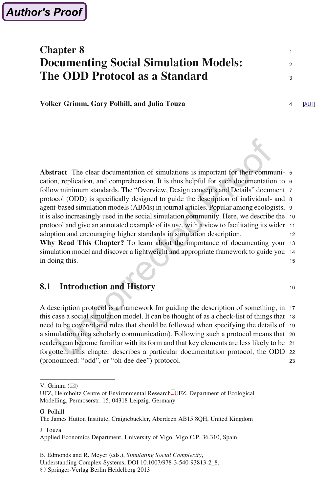Volker Grimm, Gary Polhill, and Julia Touza  $\frac{4}{|A\cup1|}$ 

Abstract The clear documentation of simulations is important for their communi- <sup>5</sup> cation, replication, and comprehension. It is thus helpful for such documentation to <sup>6</sup> follow minimum standards. The "Overview, Design concepts and Details" document <sup>7</sup> protocol (ODD) is specifically designed to guide the description of individual- and <sup>8</sup> agent-based simulation models (ABMs) in journal articles. Popular among ecologists, <sup>9</sup> it is also increasingly used in the social simulation community. Here, we describe the <sup>10</sup> protocol and give an annotated example of its use, with a view to facilitating its wider <sup>11</sup> adoption and encouraging higher standards in simulation description. <sup>12</sup> Why Read This Chapter? To learn about the importance of documenting your 13

simulation model and discover a lightweight and appropriate framework to guide you <sup>14</sup> in doing this. 15

## 8.1 Introduction and History 16

A description protocol is a framework for guiding the description of something, in <sup>17</sup> this case a social simulation model. It can be thought of as a check-list of things that <sup>18</sup> need to be covered and rules that should be followed when specifying the details of <sup>19</sup> a simulation (in a scholarly communication). Following such a protocol means that <sup>20</sup> readers can become familiar with its form and that key elements are less likely to be <sup>21</sup> forgotten. This chapter describes a particular documentation protocol, the ODD <sup>22</sup> (pronounced: "odd", or "oh dee dee") protocol. <sup>23</sup>

G. Polhill

J. Touza

Understanding Complex Systems, DOI 10.1007/978-3-540-93813-2\_8,

V. Grimm  $(\boxtimes)$ 

v. Grimm (⊠)<br>UFZ, Helmholtz Centre of Environmental Research<del>, </del>UFZ, Department of Ecological Modelling, Permoserstr. 15, 04318 Leipzig, Germany

The James Hutton Institute, Craigiebuckler, Aberdeen AB15 8QH, United Kingdom

Applied Economics Department, University of Vigo, Vigo C.P. 36.310, Spain

B. Edmonds and R. Meyer (eds.), Simulating Social Complexity,

 $\oslash$  Springer-Verlag Berlin Heidelberg 2013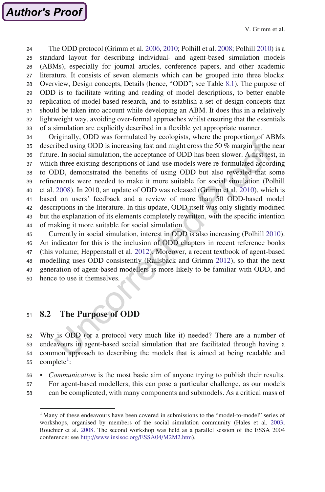

 The ODD protocol (Grimm et al. 2006, 2010; Polhill et al. 2008; Polhill 2010) is a standard layout for describing individual- and agent-based simulation models (ABMs), especially for journal articles, conference papers, and other academic literature. It consists of seven elements which can be grouped into three blocks: Overview, Design concepts, Details (hence, "ODD"; see Table 8.1). The purpose of ODD is to facilitate writing and reading of model descriptions, to better enable replication of model-based research, and to establish a set of design concepts that should be taken into account while developing an ABM. It does this in a relatively lightweight way, avoiding over-formal approaches whilst ensuring that the essentials of a simulation are explicitly described in a flexible yet appropriate manner.

 Originally, ODD was formulated by ecologists, where the proportion of ABMs described using ODD is increasing fast and might cross the 50 % margin in the near future. In social simulation, the acceptance of ODD has been slower. A first test, in which three existing descriptions of land-use models were re-formulated according to ODD, demonstrated the benefits of using ODD but also revealed that some refinements were needed to make it more suitable for social simulation (Polhill et al. 2008). In 2010, an update of ODD was released (Grimm et al. 2010), which is based on users' feedback and a review of more than 50 ODD-based model descriptions in the literature. In this update, ODD itself was only slightly modified but the explanation of its elements completely rewritten, with the specific intention of making it more suitable for social simulation.

 Currently in social simulation, interest in ODD is also increasing (Polhill 2010). An indicator for this is the inclusion of ODD chapters in recent reference books (this volume; Heppenstall et al. 2012). Moreover, a recent textbook of agent-based modelling uses ODD consistently (Railsback and Grimm 2012), so that the next generation of agent-based modellers is more likely to be familiar with ODD, and hence to use it themselves.

## 8.2 The Purpose of ODD

 Why is ODD (or a protocol very much like it) needed? There are a number of endeavours in agent-based social simulation that are facilitated through having a common approach to describing the models that is aimed at being readable and 55 complete<sup>1</sup>:

- Communication is the most basic aim of anyone trying to publish their results.
- For agent-based modellers, this can pose a particular challenge, as our models
- can be complicated, with many components and submodels. As a critical mass of

 $<sup>1</sup>$  Many of these endeavours have been covered in submissions to the "model-to-model" series of</sup> workshops, organised by members of the social simulation community (Hales et al. 2003; Rouchier et al. 2008. The second workshop was held as a parallel session of the ESSA 2004 conference: see [http://www.insisoc.org/ESSA04/M2M2.htm\)](http://www.insisoc.org/ESSA04/M2M2.htm).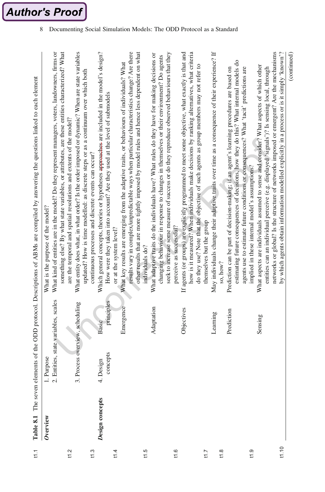| 1.1   |                 |              |                                      | Table 8.1 The seven elements of the ODD protocol. Descriptions of ABMs are compiled by answering the questions linked to each element                                                                                                                                                                                           |
|-------|-----------------|--------------|--------------------------------------|---------------------------------------------------------------------------------------------------------------------------------------------------------------------------------------------------------------------------------------------------------------------------------------------------------------------------------|
|       | Overview        | . Purpose    |                                      | What is the purpose of the model?                                                                                                                                                                                                                                                                                               |
| t1.2  |                 |              | 2. Entities, state variables, scales | What kind of entities are in the model? Do they represent managers, voters, landowners, firms or<br>something else? By what state variables, or attributes, are these entities characterized? What<br>are the temporal and spatial resolutions and extents of the model?                                                        |
| t1.3  |                 |              | 3. Process overview, scheduling      | What entity does what, in what order? Is the order imposed or dynamic? When are state variables<br>updated? How is time modelled: as discrete steps or as a continuum over which both<br>continuous processes and discrete events can occur?                                                                                    |
|       | Design concepts | Design<br>4. | Basic                                | Which general concepts, theories or hypotheses approaches are included in the model's design?                                                                                                                                                                                                                                   |
| 11.4  |                 | concepts     | principles                           | How were they taken into account? Are they used at the level of submodels<br>or at the system level?                                                                                                                                                                                                                            |
|       |                 |              | Emergence                            | results vary in complex/unpredictable ways when particular characteristics change? Are there<br>other results that are more tightly imposed by model rules and hence less dependent on what<br>What key results are emerging from the adaptive traits, or behaviours of individuals? What                                       |
| 11.5  |                 |              |                                      | individuals do?                                                                                                                                                                                                                                                                                                                 |
| 11.6  |                 |              | Adaptation                           | seek to increase some measure of success or do they reproduce observed behaviours that they<br>What adaptive traits do the individuals have? What rules do they have for making decisions or<br>changing behaviour in response to changes in themselves or their environment? Do agents<br>perceive as successful?              |
|       |                 |              | Objectives                           | If agents (or groups) are explicitly programmed to meet some objective, what exactly is that and<br>how is it measured? When individuals make decisions by ranking alternatives, what criteria<br>do they use? Note that the objective of such agents as group members may not reter to                                         |
| 1.7   |                 |              |                                      | themselves but the group                                                                                                                                                                                                                                                                                                        |
| 11.8  |                 |              | Learning                             | May individuals change their adaptive traits over time as a consequence of their experience? If<br>so, how?                                                                                                                                                                                                                     |
| 11.9  |                 |              | Prediction                           | estimating future consequences of decisions, how they do this? What internal models do<br>agents use to estimate future conditions or consequences? What 'tacit' predictions are<br>Prediction can be part of decision-making; if an agent's learning procedures are based on<br>implied in these internal model's assumptions? |
|       |                 |              | Sensing                              | What aspects are individuals assumed to sense and consider? What aspects of which other<br>entities can an individual perceive (e.g. displayed 'signals')? Is sensing local, through                                                                                                                                            |
| 11.10 |                 |              |                                      | networks or global? Is the structure of networks imposed or emergent? Are the mechanisms<br>by which agents obtain information modelled explicitly in a process or is it simply 'known'?                                                                                                                                        |
|       |                 |              |                                      | (continued)                                                                                                                                                                                                                                                                                                                     |

**Author's Proof**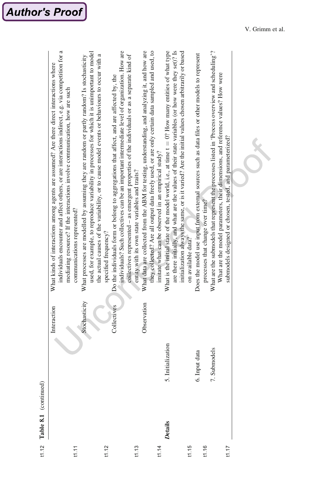| 11.12 | Table 8.1 (continued) |                   |               |                                                                                                                                                                                                                                                                                                                                               |
|-------|-----------------------|-------------------|---------------|-----------------------------------------------------------------------------------------------------------------------------------------------------------------------------------------------------------------------------------------------------------------------------------------------------------------------------------------------|
| 11.11 |                       |                   | Interaction   | individuals encounter and affect others, or are interactions indirect, e.g. via competition for a<br>What kinds of interactions among agents are assumed? Are there direct interactions where<br>mediating resource? If the interactions involve communication, how are such<br>communications represented?                                   |
| 11.12 |                       |                   | Stochasticity | used, for example, to reproduce variability in processes for which it is unimportant to model<br>the actual causes of the variability, or to cause model events or behaviours to occur with a<br>What processes are modelled by assuming they are random or partly random? Is stochasticity<br>specified frequency?                           |
| 11.13 |                       |                   | Collectives   | individuals? Such collectives can be an important intermediate level of organization. How are<br>collectives represented $-$ as emergent properties of the individuals or as a separate kind of<br>Do the individuals form or belong to aggregations that affect, and are affected by, the<br>entity with its own state variables and traits? |
| t1.14 |                       |                   | Observation   | they collected? Are all output data freely used, or are only certain data sampled and used, to<br>What data are collected from the ABM for testing, understanding, and analyzing it, and how are<br>imitate what can be observed in an empirical study?                                                                                       |
| 11.15 | Details               | 5. Initialization |               | are there initially, and what are the values of their state variables (or how were they set)? Is<br>What is the initial state of the model world, i.e., at time $t = 0$ ? How many entities of what type<br>initialization always the same, or is it varied? Are the initial values chosen arbitrarily or based<br>on available data?         |
| 11.16 |                       | 6. Input data     |               | Does the model use input from external sources such as data files or other models to represent<br>processes that change over time?                                                                                                                                                                                                            |
| 11.17 |                       | Submodels         |               | What are the submodels that represent the processes listed in 'Process overview and scheduling'?<br>What are the model parameters, their dimensions, and reference values? How were<br>submodels designed or chosen, tested, and parameterized?                                                                                               |
|       |                       |                   |               |                                                                                                                                                                                                                                                                                                                                               |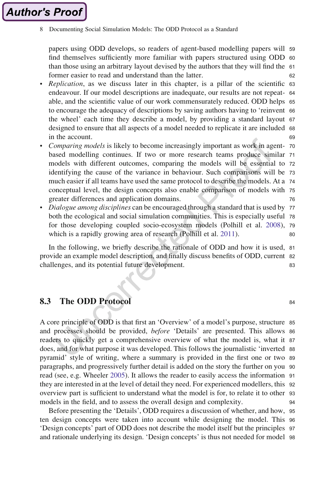

papers using ODD develops, so readers of agent-based modelling papers will 59 find themselves sufficiently more familiar with papers structured using ODD 60 than those using an arbitrary layout devised by the authors that they will find the 61 former easier to read and understand than the latter. 62

- Replication, as we discuss later in this chapter, is a pillar of the scientific 63 endeavour. If our model descriptions are inadequate, our results are not repeat- 64 able, and the scientific value of our work commensurately reduced. ODD helps 65 to encourage the adequacy of descriptions by saving authors having to 'reinvent 66 the wheel' each time they describe a model, by providing a standard layout <sup>67</sup> designed to ensure that all aspects of a model needed to replicate it are included <sup>68</sup> in the account. 69
- Comparing models is likely to become increasingly important as work in agent- 70 based modelling continues. If two or more research teams produce similar <sup>71</sup> models with different outcomes, comparing the models will be essential to <sup>72</sup> identifying the cause of the variance in behaviour. Such comparisons will be <sup>73</sup> much easier if all teams have used the same protocol to describe the models. At a <sup>74</sup> conceptual level, the design concepts also enable comparison of models with <sup>75</sup> greater differences and application domains. 76
- Dialogue among disciplines can be encouraged through a standard that is used by 77 both the ecological and social simulation communities. This is especially useful <sup>78</sup> for those developing coupled socio-ecosystem models (Polhill et al. 2008), <sup>79</sup> which is a rapidly growing area of research (Polhill et al. 2011).

In the following, we briefly describe the rationale of ODD and how it is used, <sup>81</sup> provide an example model description, and finally discuss benefits of ODD, current <sup>82</sup> challenges, and its potential future development. <sup>83</sup>

#### 8.3 The ODD Protocol 84

A core principle of ODD is that first an 'Overview' of a model's purpose, structure <sup>85</sup> and processes should be provided, before 'Details' are presented. This allows <sup>86</sup> readers to quickly get a comprehensive overview of what the model is, what it <sup>87</sup> does, and for what purpose it was developed. This follows the journalistic 'inverted <sup>88</sup> pyramid' style of writing, where a summary is provided in the first one or two <sup>89</sup> paragraphs, and progressively further detail is added on the story the further on you <sup>90</sup> read (see, e.g. Wheeler 2005). It allows the reader to easily access the information <sup>91</sup> they are interested in at the level of detail they need. For experienced modellers, this <sup>92</sup> overview part is sufficient to understand what the model is for, to relate it to other <sup>93</sup> models in the field, and to assess the overall design and complexity. <sup>94</sup>

Before presenting the 'Details', ODD requires a discussion of whether, and how, <sup>95</sup> ten design concepts were taken into account while designing the model. This <sup>96</sup> 'Design concepts' part of ODD does not describe the model itself but the principles <sup>97</sup> and rationale underlying its design. 'Design concepts' is thus not needed for model <sup>98</sup>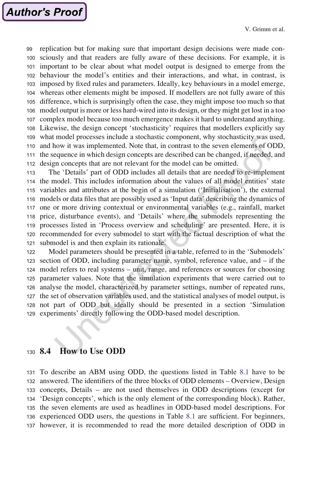replication but for making sure that important design decisions were made con- sciously and that readers are fully aware of these decisions. For example, it is important to be clear about what model output is designed to emerge from the behaviour the model's entities and their interactions, and what, in contrast, is imposed by fixed rules and parameters. Ideally, key behaviours in a model emerge, whereas other elements might be imposed. If modellers are not fully aware of this difference, which is surprisingly often the case, they might impose too much so that model output is more or less hard-wired into its design, or they might get lost in a too complex model because too much emergence makes it hard to understand anything. Likewise, the design concept 'stochasticity' requires that modellers explicitly say what model processes include a stochastic component, why stochasticity was used, and how it was implemented. Note that, in contrast to the seven elements of ODD, the sequence in which design concepts are described can be changed, if needed, and design concepts that are not relevant for the model can be omitted.

 The 'Details' part of ODD includes all details that are needed to re-implement the model. This includes information about the values of all model entities' state variables and attributes at the begin of a simulation ('Initialisation'), the external models or data files that are possibly used as 'Input data' describing the dynamics of one or more driving contextual or environmental variables (e.g., rainfall, market price, disturbance events), and 'Details' where the submodels representing the processes listed in 'Process overview and scheduling' are presented. Here, it is recommended for every submodel to start with the factual description of what the submodel is and then explain its rationale.

 Model parameters should be presented in a table, referred to in the 'Submodels' section of ODD, including parameter name, symbol, reference value, and – if the model refers to real systems – unit, range, and references or sources for choosing parameter values. Note that the simulation experiments that were carried out to analyse the model, characterized by parameter settings, number of repeated runs, the set of observation variables used, and the statistical analyses of model output, is not part of ODD but ideally should be presented in a section 'Simulation experiments' directly following the ODD-based model description.

## 8.4 How to Use ODD

 To describe an ABM using ODD, the questions listed in Table 8.1 have to be answered. The identifiers of the three blocks of ODD elements – Overview, Design concepts, Details – are not used themselves in ODD descriptions (except for 'Design concepts', which is the only element of the corresponding block). Rather, the seven elements are used as headlines in ODD-based model descriptions. For experienced ODD users, the questions in Table 8.1 are sufficient. For beginners, however, it is recommended to read the more detailed description of ODD in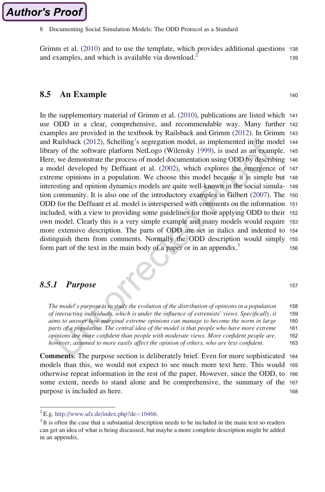**Author's Proof** 

8 Documenting Social Simulation Models: The ODD Protocol as a Standard

Grimm et al. (2010) and to use the template, which provides additional questions 138 and examples, and which is available via download.<sup>2</sup>  $\qquad 139$ 

## **8.5 An Example**  $140$

In the supplementary material of Grimm et al. (2010), publications are listed which <sup>141</sup> use ODD in a clear, comprehensive, and recommendable way. Many further <sup>142</sup> examples are provided in the textbook by Railsback and Grimm (2012). In Grimm <sup>143</sup> and Railsback (2012), Schelling's segregation model, as implemented in the model <sup>144</sup> library of the software platform NetLogo (Wilensky 1999), is used as an example. <sup>145</sup> Here, we demonstrate the process of model documentation using ODD by describing <sup>146</sup> a model developed by Deffuant et al. (2002), which explores the emergence of <sup>147</sup> extreme opinions in a population. We choose this model because it is simple but <sup>148</sup> interesting and opinion dynamics models are quite well-known in the social simula- <sup>149</sup> tion community. It is also one of the introductory examples in Gilbert (2007). The <sup>150</sup> ODD for the Deffuant et al. model is interspersed with comments on the information <sup>151</sup> included, with a view to providing some guidelines for those applying ODD to their <sup>152</sup> own model. Clearly this is a very simple example and many models would require <sup>153</sup> more extensive description. The parts of ODD are set in italics and indented to <sup>154</sup> distinguish them from comments. Normally the ODD description would simply <sup>155</sup> form part of the text in the main body of a paper or in an appendix.<sup>3</sup>  $156$ 

## 8.5.1 Purpose 157

The model's purpose is to study the evolution of the distribution of opinions in a population 158 of interacting individuals, which is under the influence of extremists' views. Specifically, it 159 aims to answer how marginal extreme opinions can manage to become the norm in large 160 parts of a population. The central idea of the model is that people who have more extreme 161 opinions are more confident than people with moderate views. More confident people are, 162 however, assumed to more easily affect the opinion of others, who are less confident. 163

Comments: The purpose section is deliberately brief. Even for more sophisticated <sup>164</sup> models than this, we would not expect to see much more text here. This would <sup>165</sup> otherwise repeat information in the rest of the paper. However, since the ODD, to <sup>166</sup> some extent, needs to stand alone and be comprehensive, the summary of the <sup>167</sup> purpose is included as here. 168

<sup>&</sup>lt;sup>2</sup> E.g. [http://www.ufz.de/index.php?de](http://www.ufz.de/index.php?de=10466)=[10466.](http://www.ufz.de/index.php?de=10466)<br><sup>3</sup> It is often the case that a substantial description needs to be included in the main text so readers can get an idea of what is being discussed, but maybe a more complete description might be added in an appendix.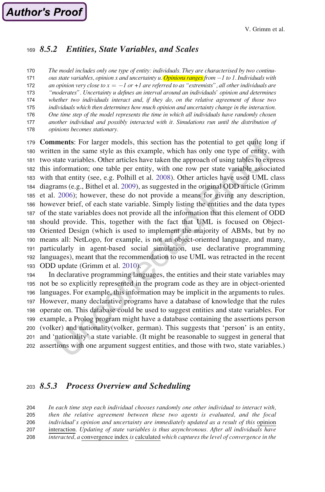

#### 8.5.2 Entities, State Variables, and Scales

170 The model includes only one type of entity: individuals. They are characterised by two continu-<br>171 ous state variables opinion x and uncertainty u **Opinions ranges** from  $-1$  to 1 Individuals with 171 ous state variables, opinion x and uncertainty u. Opinions ranges from  $-1$  to 1. Individuals with 172 an opinion very close to  $x = -1$  or  $+1$  are referred to as "extremists", all other individuals are "moderates". Uncertainty u defines an interval around an individuals' opinion and determines whether two individuals interact and, if they do, on the relative agreement of those two individuals which then determines how much opinion and uncertainty change in the interaction. 176 One time step of the model represents the time in which all individuals have randomly chosen another individual and possibly interacted with it. Simulations run until the distribution of

opinions becomes stationary.

 Comments: For larger models, this section has the potential to get quite long if written in the same style as this example, which has only one type of entity, with two state variables. Other articles have taken the approach of using tables to express this information; one table per entity, with one row per state variable associated with that entity (see, e.g. Polhill et al. 2008). Other articles have used UML class diagrams (e.g., Bithel et al. 2009), as suggested in the original ODD article (Grimm et al. 2006); however, these do not provide a means for giving any description, however brief, of each state variable. Simply listing the entities and the data types of the state variables does not provide all the information that this element of ODD should provide. This, together with the fact that UML is focused on Object- Oriented Design (which is used to implement the majority of ABMs, but by no means all: NetLogo, for example, is not an object-oriented language, and many, particularly in agent-based social simulation, use declarative programming languages), meant that the recommendation to use UML was retracted in the recent ODD update (Grimm et al. 2010).

 In declarative programming languages, the entities and their state variables may not be so explicitly represented in the program code as they are in object-oriented languages. For example, this information may be implicit in the arguments to rules. However, many declarative programs have a database of knowledge that the rules operate on. This database could be used to suggest entities and state variables. For example, a Prolog program might have a database containing the assertions person (volker) and nationality(volker, german). This suggests that 'person' is an entity, and 'nationality' a state variable. (It might be reasonable to suggest in general that assertions with one argument suggest entities, and those with two, state variables.)

## 8.5.3 Process Overview and Scheduling

 In each time step each individual chooses randomly one other individual to interact with, then the relative agreement between these two agents is evaluated, and the focal individual's opinion and uncertainty are immediately updated as a result of this opinion interaction. Updating of state variables is thus asynchronous. After all individuals have interacted, a convergence index is calculated which captures the level of convergence in the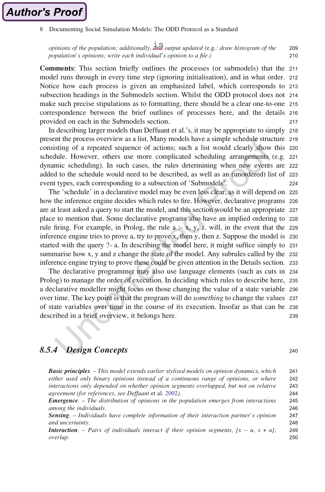

opinions of the population; additionally,  $\frac{1}{4}$  and output updated (e.g.: draw histogram of the 209 population's opinions; write each individual's opinion to a file.) 210

Comments: This section briefly outlines the processes (or submodels) that the <sup>211</sup> model runs through in every time step (ignoring initialisation), and in what order. 212 Notice how each process is given an emphasized label, which corresponds to 213 subsection headings in the Submodels section. Whilst the ODD protocol does not 214 make such precise stipulations as to formatting, there should be a clear one-to-one 215 correspondence between the brief outlines of processes here, and the details <sup>216</sup> provided on each in the Submodels section. <sup>217</sup>

In describing larger models than Deffuant et al.'s, it may be appropriate to simply <sup>218</sup> present the process overview as a list. Many models have a simple schedule structure <sup>219</sup> consisting of a repeated sequence of actions; such a list would clearly show this <sup>220</sup> schedule. However, others use more complicated scheduling arrangements (e.g. <sup>221</sup> dynamic scheduling). In such cases, the rules determining when new events are <sup>222</sup> added to the schedule would need to be described, as well as an (unordered) list of <sup>223</sup> event types, each corresponding to a subsection of 'Submodels'. <sup>224</sup>

The 'schedule' in a declarative model may be even less clear, as it will depend on <sup>225</sup> how the inference engine decides which rules to fire. However, declarative programs <sup>226</sup> are at least asked a query to start the model, and this section would be an appropriate <sup>227</sup> place to mention that. Some declarative programs also have an implied ordering to <sup>228</sup> rule firing. For example, in Prolog, the rule  $a : x, y, z$ . will, in the event that the 229 inference engine tries to prove a, try to prove x, then y, then z. Suppose the model is <sup>230</sup> started with the query ?- a. In describing the model here, it might suffice simply to <sup>231</sup> summarise how x, y and z change the state of the model. Any subrules called by the <sup>232</sup> inference engine trying to prove these could be given attention in the Details section. <sup>233</sup>

The declarative programmer may also use language elements (such as cuts in <sup>234</sup> Prolog) to manage the order of execution. In deciding which rules to describe here, <sup>235</sup> a declarative modeller might focus on those changing the value of a state variable <sup>236</sup> over time. The key point is that the program will do *something* to change the values 237 of state variables over time in the course of its execution. Insofar as that can be <sup>238</sup> described in a brief overview, it belongs here. <sup>239</sup>

## 8.5.4 Design Concepts 240

**Basic principles.** – This model extends earlier stylised models on opinion dynamics, which 241 either used only binary opinions instead of a continuous range of opinions, or where 242 interactions only depended on whether opinion segments overlapped, but not on relative 243 agreement (for references, see Deffuant et al. 2002). 244 **Emergence.** – The distribution of opinions in the population emerges from interactions 245 among the individuals. 246 Sensing. – Individuals have complete information of their interaction partner's opinion 247 and uncertainty. 248

**Interaction**. – Pairs of individuals interact if their opinion segments,  $[x - u, x + u]$ , 249 overlap. 250 and 250 and 250 and 250 and 250 and 250 and 250 and 250 and 250 and 250 and 250 and 250 and 250 and 250 and 250 and 250 and 250 and 250 and 250 and 250 and 250 and 250 and 250 and 250 and 250 and 250 and 250 a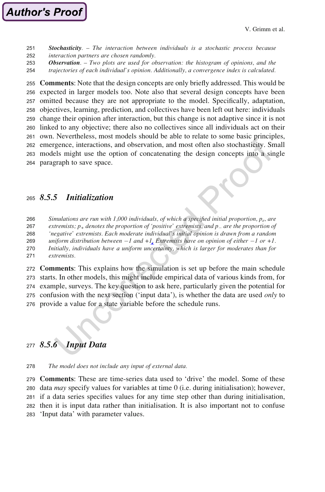

251 Stochasticity. – The interaction between individuals is a stochastic process because interaction partners are chosen randomly.

253 Observation. – Two plots are used for observation: the histogram of opinions, and the trajectories of each individual's opinion. Additionally, a convergence index is calculated.

 Comments: Note that the design concepts are only briefly addressed. This would be expected in larger models too. Note also that several design concepts have been omitted because they are not appropriate to the model. Specifically, adaptation, objectives, learning, prediction, and collectives have been left out here: individuals change their opinion after interaction, but this change is not adaptive since it is not linked to any objective; there also no collectives since all individuals act on their own. Nevertheless, most models should be able to relate to some basic principles, emergence, interactions, and observation, and most often also stochasticity. Small models might use the option of concatenating the design concepts into a single paragraph to save space.

#### 8.5.5 Initialization

266 Simulations are run with 1,000 individuals, of which a specified initial proportion,  $p_e$ , are<br>267 extremists: p. denotes the proportion of 'positive' extremists, and p. are the proportion of 267 extremists;  $p_+$  denotes the proportion of 'positive' extremists, and  $p_-$  are the proportion of 'negative' extremists. Each moderate individual's initial opinion is drawn from a random 269 uniform distribution between  $-1$  and  $+1$ , Extremists have on opinion of either  $-1$  or  $+1$ . Initially, individuals have a uniform uncertainty, which is larger for moderates than for extremists.

 Comments: This explains how the simulation is set up before the main schedule starts. In other models, this might include empirical data of various kinds from, for example, surveys. The key question to ask here, particularly given the potential for 275 confusion with the next section ('input data'), is whether the data are used *only* to provide a value for a state variable before the schedule runs.

## 8.5.6 Input Data

The model does not include any input of external data.

 Comments: These are time-series data used to 'drive' the model. Some of these data may specify values for variables at time 0 (i.e. during initialisation); however, if a data series specifies values for any time step other than during initialisation, then it is input data rather than initialisation. It is also important not to confuse 'Input data' with parameter values.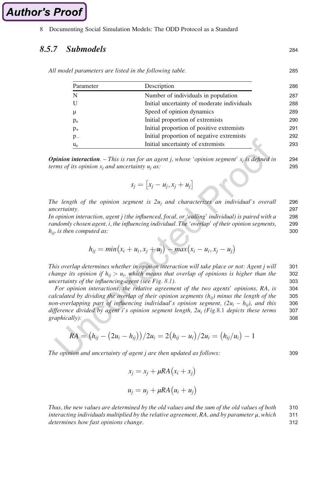**Author's Proof** 

8 Documenting Social Simulation Models: The ODD Protocol as a Standard

## 8.5.7 Submodels 284

All model parameters are listed in the following table. 285

| Parameter | Description                                 | 286 |
|-----------|---------------------------------------------|-----|
| N         | Number of individuals in population         | 287 |
|           | Initial uncertainty of moderate individuals | 288 |
| u         | Speed of opinion dynamics                   | 289 |
| $p_e$     | Initial proportion of extremists            | 290 |
| $p_{+}$   | Initial proportion of positive extremists   | 291 |
| $p_{-}$   | Initial proportion of negative extremists   | 292 |
| $u_{e}$   | Initial uncertainty of extremists           | 293 |

**Opinion interaction.** – This is run for an agent j, whose 'opinion segment'  $s_j$  is defined in 294 terms of its opinion x; and uncertainty u; as: terms of its opinion  $x_i$  and uncertainty  $u_i$  as:

$$
s_j = [x_j - u_j, x_j + u_j]
$$

The length of the opinion segment is  $2u_j$  and characterizes an individual's overall 296<br>uncertainty. uncertainty.

In opinion interaction, agent j (the influenced, focal, or 'calling' individual) is paired with a 298 randomly chosen agent, i, the influencing individual. The 'overlap' of their opinion segments, 299  $h_{ii}$ , is then computed as: 300

$$
h_{ij} = min(x_i + u_i, x_j + u_j) - max(x_i - u_i, x_j - u_j)
$$

This overlap determines whether in opinion interaction will take place or not: Agent j will 301 change its opinion if  $h_{ii} > u_i$ , which means that overlap of opinions is higher than the 302 uncertainty of the influencing agent (see Fig. 8.1). 303

For opinion interactions, the relative agreement of the two agents' opinions, RA, is 304 calculated by dividing the overlap of their opinion segments  $(h_{ij})$  minus the length of the 305<br>non-overlapping part of influencing individual's opinion segment. (2u, – h.;), and this 306 non-overlapping part of influencing individual's opinion segment,  $(2u_i - h_{ii})$ , and this difference divided by agent i's opinion segment length,  $2u_i$  (Fig.8.1 depicts these terms 307 graphically): graphically):

$$
RA = (h_{ij} - (2u_i - h_{ij}))/2u_i = 2(h_{ij} - u_i)/2u_i = (h_{ij}/u_i) - 1
$$

The opinion and uncertainty of agent j are then updated as follows: 309

$$
x_j = x_j + \mu R A (x_i + x_j)
$$
  

$$
u_j = u_j + \mu R A (u_i + u_j)
$$

Thus, the new values are determined by the old values and the sum of the old values of both 310 interacting individuals multiplied by the relative agreement,  $RA$ , and by parameter  $\mu$ , which 311 determines how fast opinions change.  $\frac{312}{2}$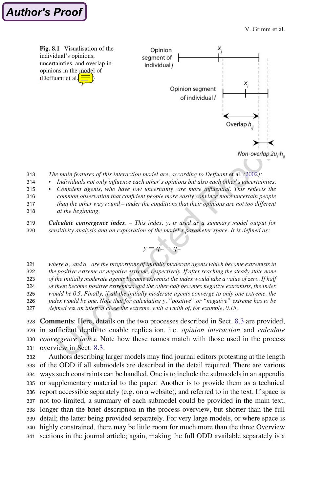

V. Grimm et al.

Fig. 8.1 Visualisation of the individual's opinions, uncertainties, and overlap in opinions in the model of (Deffuant et al.



The main features of this interaction model are, according to Deffuant et al. (2002):

- Individuals not only influence each other's opinions but also each other's uncertainties.
- Confident agents, who have low uncertainty, are more influential. This reflects the common observation that confident people more easily convince more uncertain people
- than the other way round under the conditions that their opinions are not too different at the beginning.

319 **Calculate convergence index.**  $-$  This index,  $y$ , is used as a summary model output for sensitivity analysis and an exploration of the model's parameter space. It is defined as:

$$
y=q_++q_-
$$

321 where  $q_+$  and  $q_-$  are the proportions of initially moderate agents which become extremists in

the positive extreme or negative extreme, respectively. If after reaching the steady state none

323 of the initially moderate agents became extremist the index would take a value of zero. If half of them become positive extremists and the other half becomes negative extremists, the index

325 would be 0.5. Finally, if all the initially moderate agents converge to only one extreme, the

326 index would be one. Note that for calculating y, "positive" or "negative" extreme has to be

327 defined via an interval close the extreme, with a width of, for example, 0.15.

 Comments: Here, details on the two processes described in Sect. 8.3 are provided, in sufficient depth to enable replication, i.e. opinion interaction and calculate convergence index. Note how these names match with those used in the process overview in Sect. 8.3.

 Authors describing larger models may find journal editors protesting at the length of the ODD if all submodels are described in the detail required. There are various ways such constraints can be handled. One is to include the submodels in an appendix or supplementary material to the paper. Another is to provide them as a technical report accessible separately (e.g. on a website), and referred to in the text. If space is not too limited, a summary of each submodel could be provided in the main text, longer than the brief description in the process overview, but shorter than the full detail; the latter being provided separately. For very large models, or where space is highly constrained, there may be little room for much more than the three Overview sections in the journal article; again, making the full ODD available separately is a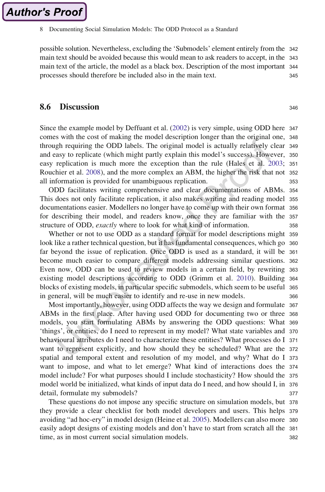

possible solution. Nevertheless, excluding the 'Submodels' element entirely from the 342 main text should be avoided because this would mean to ask readers to accept, in the 343 main text of the article, the model as a black box. Description of the most important 344 processes should therefore be included also in the main text. 345

#### 8.6 Discussion 346

Since the example model by Deffuant et al. (2002) is very simple, using ODD here <sup>347</sup> comes with the cost of making the model description longer than the original one, <sup>348</sup> through requiring the ODD labels. The original model is actually relatively clear <sup>349</sup> and easy to replicate (which might partly explain this model's success). However, <sup>350</sup> easy replication is much more the exception than the rule (Hales et al. 2003; <sup>351</sup> Rouchier et al. 2008), and the more complex an ABM, the higher the risk that not <sup>352</sup> all information is provided for unambiguous replication.  $\frac{353}{25}$ 

ODD facilitates writing comprehensive and clear documentations of ABMs. <sup>354</sup> This does not only facilitate replication, it also makes writing and reading model <sup>355</sup> documentations easier. Modellers no longer have to come up with their own format <sup>356</sup> for describing their model, and readers know, once they are familiar with the <sup>357</sup> structure of ODD, *exactly* where to look for what kind of information. 358

Whether or not to use ODD as a standard format for model descriptions might <sup>359</sup> look like a rather technical question, but it has fundamental consequences, which go <sup>360</sup> far beyond the issue of replication. Once ODD is used as a standard, it will be <sup>361</sup> become much easier to compare different models addressing similar questions. <sup>362</sup> Even now, ODD can be used to review models in a certain field, by rewriting <sup>363</sup> existing model descriptions according to ODD (Grimm et al. 2010). Building <sup>364</sup> blocks of existing models, in particular specific submodels, which seem to be useful <sup>365</sup> in general, will be much easier to identify and re-use in new models. 366

Most importantly, however, using ODD affects the way we design and formulate <sup>367</sup> ABMs in the first place. After having used ODD for documenting two or three <sup>368</sup> models, you start formulating ABMs by answering the ODD questions: What <sup>369</sup> 'things', or entities, do I need to represent in my model? What state variables and <sup>370</sup> behavioural attributes do I need to characterize these entities? What processes do I <sup>371</sup> want to represent explicitly, and how should they be scheduled? What are the <sup>372</sup> spatial and temporal extent and resolution of my model, and why? What do I <sup>373</sup> want to impose, and what to let emerge? What kind of interactions does the <sup>374</sup> model include? For what purposes should I include stochasticity? How should the <sup>375</sup> model world be initialized, what kinds of input data do I need, and how should I, in <sup>376</sup> detail, formulate my submodels? 377

These questions do not impose any specific structure on simulation models, but <sup>378</sup> they provide a clear checklist for both model developers and users. This helps <sup>379</sup> avoiding "ad hoc-ery" in model design (Heine et al. 2005). Modellers can also more <sup>380</sup> easily adopt designs of existing models and don't have to start from scratch all the <sup>381</sup> time, as in most current social simulation models. <sup>382</sup>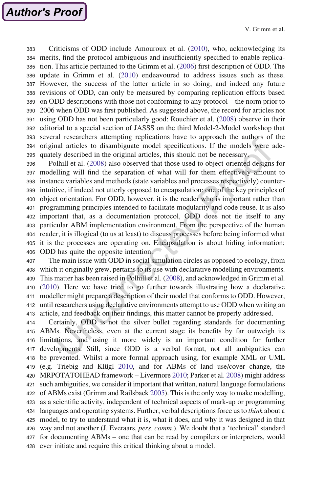Criticisms of ODD include Amouroux et al. (2010), who, acknowledging its merits, find the protocol ambiguous and insufficiently specified to enable replica- tion. This article pertained to the Grimm et al. (2006) first description of ODD. The update in Grimm et al. (2010) endeavoured to address issues such as these. However, the success of the latter article in so doing, and indeed any future revisions of ODD, can only be measured by comparing replication efforts based on ODD descriptions with those not conforming to any protocol – the norm prior to 2006 when ODD was first published. As suggested above, the record for articles not using ODD has not been particularly good: Rouchier et al. (2008) observe in their editorial to a special section of JASSS on the third Model-2-Model workshop that several researchers attempting replications have to approach the authors of the original articles to disambiguate model specifications. If the models were ade-quately described in the original articles, this should not be necessary.

 Polhill et al. (2008) also observed that those used to object-oriented designs for modelling will find the separation of what will for them effectively amount to instance variables and methods (state variables and processes respectively) counter- intuitive, if indeed not utterly opposed to encapsulation: one of the key principles of object orientation. For ODD, however, it is the reader who is important rather than programming principles intended to facilitate modularity and code reuse. It is also important that, as a documentation protocol, ODD does not tie itself to any particular ABM implementation environment. From the perspective of the human reader, it is illogical (to us at least) to discuss processes before being informed what it is the processes are operating on. Encapsulation is about hiding information; ODD has quite the opposite intention.

 The main issue with ODD in social simulation circles as opposed to ecology, from which it originally grew, pertains to its use with declarative modelling environments. This matter has been raised in Polhill et al. (2008), and acknowledged in Grimm et al. (2010). Here we have tried to go further towards illustrating how a declarative modeller might prepare a description of their model that conforms to ODD. However, until researchers using declarative environments attempt to use ODD when writing an article, and feedback on their findings, this matter cannot be properly addressed.

 Certainly, ODD is not the silver bullet regarding standards for documenting ABMs. Nevertheless, even at the current stage its benefits by far outweigh its limitations, and using it more widely is an important condition for further developments. Still, since ODD is a verbal format, not all ambiguities can be prevented. Whilst a more formal approach using, for example XML or UML 419 (e.g. Triebig and Klügl 2010, and for ABMs of land use/cover change, the MRPOTATOHEAD framework – Livermore 2010; Parker et al. 2008) might address such ambiguities, we consider it important that written, natural language formulations of ABMs exist (Grimm and Railsback 2005). This is the only way to make modelling, as a scientific activity, independent of technical aspects of mark-up or programming languages and operating systems. Further, verbal descriptions force us to think about a model, to try to understand what it is, what it does, and why it was designed in that way and not another (J. Everaars, pers. comm.). We doubt that a 'technical' standard for documenting ABMs – one that can be read by compilers or interpreters, would ever initiate and require this critical thinking about a model.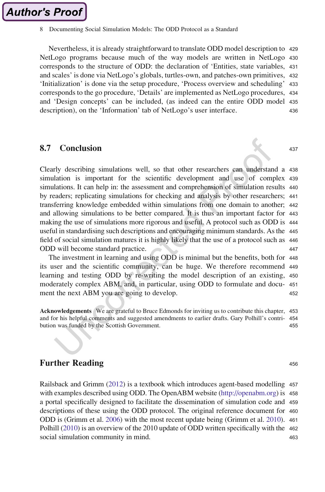

Nevertheless, it is already straightforward to translate ODD model description to 429 NetLogo programs because much of the way models are written in NetLogo 430 corresponds to the structure of ODD: the declaration of 'Entities, state variables, 431 and scales' is done via NetLogo's globals, turtles-own, and patches-own primitives, 432 'Initialization' is done via the setup procedure, 'Process overview and scheduling' 433 corresponds to the go procedure, 'Details' are implemented as NetLogo procedures, 434 and 'Design concepts' can be included, (as indeed can the entire ODD model 435 description), on the 'Information' tab of NetLogo's user interface. 436

#### 8.7 Conclusion 437

Clearly describing simulations well, so that other researchers can understand a <sup>438</sup> simulation is important for the scientific development and use of complex <sup>439</sup> simulations. It can help in: the assessment and comprehension of simulation results <sup>440</sup> by readers; replicating simulations for checking and analysis by other researchers; <sup>441</sup> transferring knowledge embedded within simulations from one domain to another; <sup>442</sup> and allowing simulations to be better compared. It is thus an important factor for <sup>443</sup> making the use of simulations more rigorous and useful. A protocol such as ODD is <sup>444</sup> useful in standardising such descriptions and encouraging minimum standards. As the <sup>445</sup> field of social simulation matures it is highly likely that the use of a protocol such as <sup>446</sup> ODD will become standard practice. <sup>447</sup>

The investment in learning and using ODD is minimal but the benefits, both for <sup>448</sup> its user and the scientific community, can be huge. We therefore recommend <sup>449</sup> learning and testing ODD by re-writing the model description of an existing, <sup>450</sup> moderately complex ABM, and, in particular, using ODD to formulate and docu- <sup>451</sup> ment the next ABM you are going to develop. 452

Acknowledgements We are grateful to Bruce Edmonds for inviting us to contribute this chapter, 453 and for his helpful comments and suggested amendments to earlier drafts. Gary Polhill's contri- 454 bution was funded by the Scottish Government. 455

## Further Reading 456

Railsback and Grimm (2012) is a textbook which introduces agent-based modelling <sup>457</sup> with examples described using ODD. The OpenABM website [\(http://openabm.org\)](http://openabm.org) is <sup>458</sup> a portal specifically designed to facilitate the dissemination of simulation code and <sup>459</sup> descriptions of these using the ODD protocol. The original reference document for <sup>460</sup> ODD is (Grimm et al. 2006) with the most recent update being (Grimm et al. 2010). <sup>461</sup> Polhill (2010) is an overview of the 2010 update of ODD written specifically with the <sup>462</sup> social simulation community in mind. 463